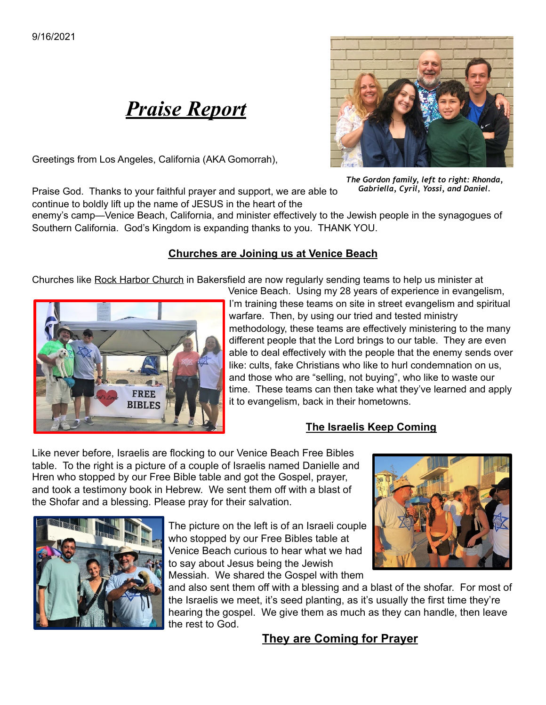# *Praise Report*

Greetings from Los Angeles, California (AKA Gomorrah),



*The Gordon family, left to right: Rhonda, Gabriella, Cyril, Yossi, and Daniel.*

Praise God. Thanks to your faithful prayer and support, we are able to continue to boldly lift up the name of JESUS in the heart of the

enemy's camp—Venice Beach, California, and minister effectively to the Jewish people in the synagogues of Southern California. God's Kingdom is expanding thanks to you. THANK YOU.

#### **Churches are Joining us at Venice Beach**

Churches like Rock Harbor Church in Bakersfield are now regularly sending teams to help us minister at



Venice Beach. Using my 28 years of experience in evangelism, I'm training these teams on site in street evangelism and spiritual warfare. Then, by using our tried and tested ministry methodology, these teams are effectively ministering to the many different people that the Lord brings to our table. They are even able to deal effectively with the people that the enemy sends over like: cults, fake Christians who like to hurl condemnation on us, and those who are "selling, not buying", who like to waste our time. These teams can then take what they've learned and apply it to evangelism, back in their hometowns.

### **The Israelis Keep Coming**

Like never before, Israelis are flocking to our Venice Beach Free Bibles table. To the right is a picture of a couple of Israelis named Danielle and Hren who stopped by our Free Bible table and got the Gospel, prayer, and took a testimony book in Hebrew. We sent them off with a blast of the Shofar and a blessing. Please pray for their salvation.



The picture on the left is of an Israeli couple who stopped by our Free Bibles table at Venice Beach curious to hear what we had to say about Jesus being the Jewish Messiah. We shared the Gospel with them



and also sent them off with a blessing and a blast of the shofar. For most of the Israelis we meet, it's seed planting, as it's usually the first time they're hearing the gospel. We give them as much as they can handle, then leave the rest to God.

## **They are Coming for Prayer**